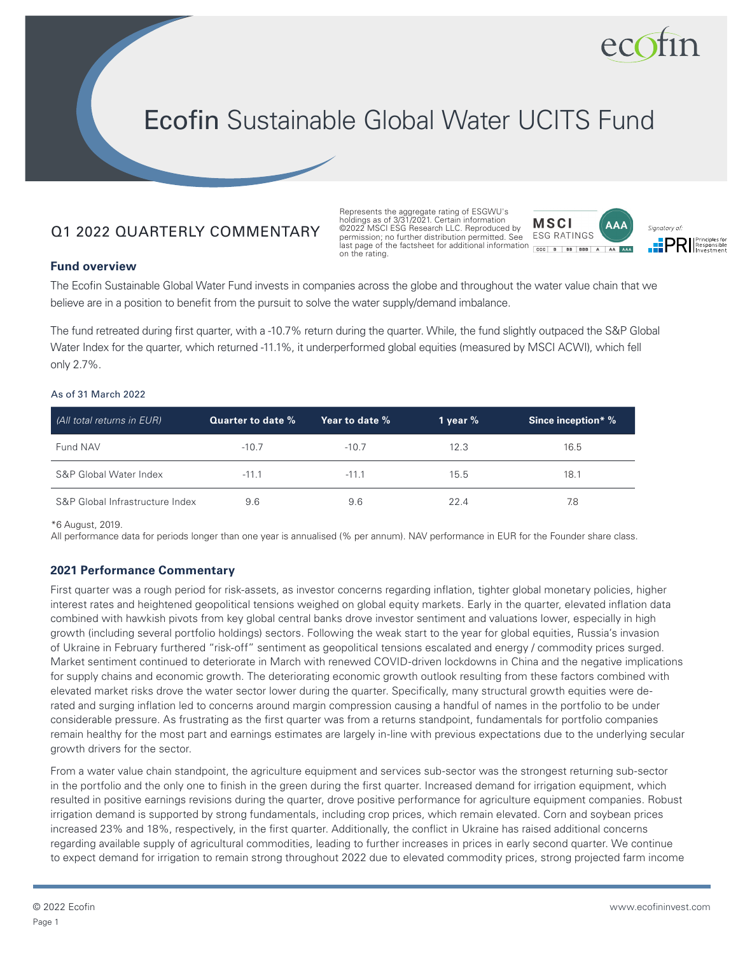

# Ecofin Sustainable Global Water UCITS Fund

# Q1 2022 QUARTERLY COMMENTARY

Represents the aggregate rating of ESGWU's holdings as of 3/31/2021. Certain information ©2022 MSCI ESG Research LLC. Reproduced by **MSCI** permission; no further distribution permitted. See last page of the factsheet for additional information on the rating.





#### **Fund overview**

The Ecofin Sustainable Global Water Fund invests in companies across the globe and throughout the water value chain that we believe are in a position to benefit from the pursuit to solve the water supply/demand imbalance.

The fund retreated during first quarter, with a -10.7% return during the quarter. While, the fund slightly outpaced the S&P Global Water Index for the quarter, which returned -11.1%, it underperformed global equities (measured by MSCI ACWI), which fell only 2.7%.

#### As of 31 March 2022

| (All total returns in EUR)      | Quarter to date % | Year to date % | 1 year $%$ | <b>Since inception*</b> % |
|---------------------------------|-------------------|----------------|------------|---------------------------|
| Fund NAV                        | $-10.7$           | $-10.7$        | 12.3       | 16.5                      |
| S&P Global Water Index          | $-11.1$           | $-11.1$        | 15.5       | 18.1                      |
| S&P Global Infrastructure Index | 9.6               | 9.6            | 22.4       | 7.8                       |

\*6 August, 2019.

All performance data for periods longer than one year is annualised (% per annum). NAV performance in EUR for the Founder share class.

#### **2021 Performance Commentary**

First quarter was a rough period for risk-assets, as investor concerns regarding inflation, tighter global monetary policies, higher interest rates and heightened geopolitical tensions weighed on global equity markets. Early in the quarter, elevated inflation data combined with hawkish pivots from key global central banks drove investor sentiment and valuations lower, especially in high growth (including several portfolio holdings) sectors. Following the weak start to the year for global equities, Russia's invasion of Ukraine in February furthered "risk-off" sentiment as geopolitical tensions escalated and energy / commodity prices surged. Market sentiment continued to deteriorate in March with renewed COVID-driven lockdowns in China and the negative implications for supply chains and economic growth. The deteriorating economic growth outlook resulting from these factors combined with elevated market risks drove the water sector lower during the quarter. Specifically, many structural growth equities were derated and surging inflation led to concerns around margin compression causing a handful of names in the portfolio to be under considerable pressure. As frustrating as the first quarter was from a returns standpoint, fundamentals for portfolio companies remain healthy for the most part and earnings estimates are largely in-line with previous expectations due to the underlying secular growth drivers for the sector.

From a water value chain standpoint, the agriculture equipment and services sub-sector was the strongest returning sub-sector in the portfolio and the only one to finish in the green during the first quarter. Increased demand for irrigation equipment, which resulted in positive earnings revisions during the quarter, drove positive performance for agriculture equipment companies. Robust irrigation demand is supported by strong fundamentals, including crop prices, which remain elevated. Corn and soybean prices increased 23% and 18%, respectively, in the first quarter. Additionally, the conflict in Ukraine has raised additional concerns regarding available supply of agricultural commodities, leading to further increases in prices in early second quarter. We continue to expect demand for irrigation to remain strong throughout 2022 due to elevated commodity prices, strong projected farm income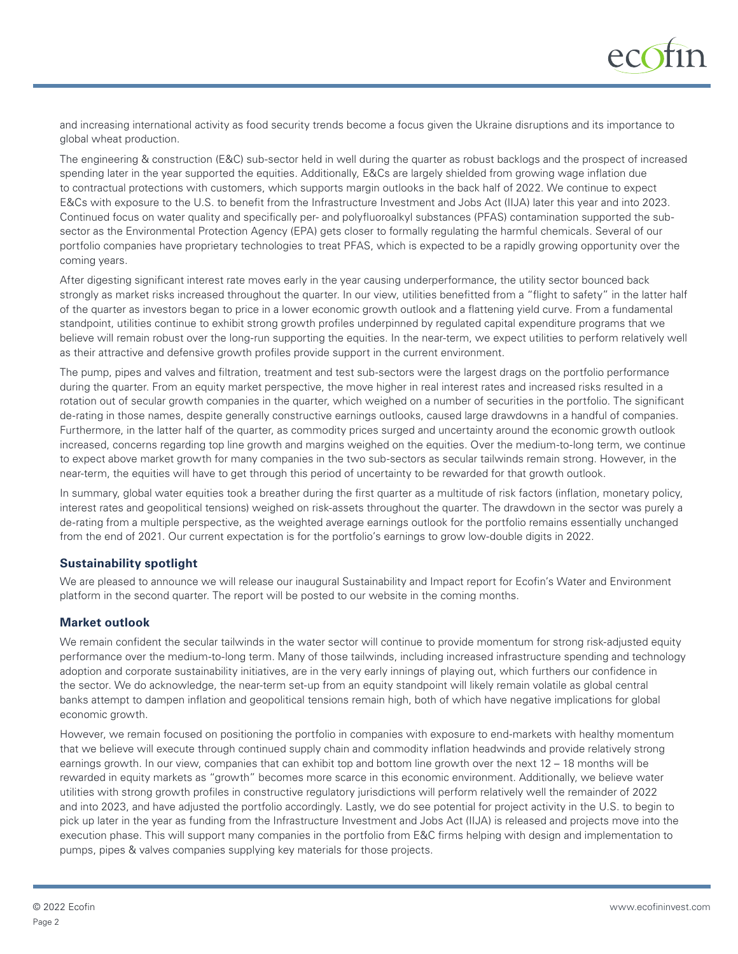

and increasing international activity as food security trends become a focus given the Ukraine disruptions and its importance to global wheat production.

The engineering & construction (E&C) sub-sector held in well during the quarter as robust backlogs and the prospect of increased spending later in the year supported the equities. Additionally, E&Cs are largely shielded from growing wage inflation due to contractual protections with customers, which supports margin outlooks in the back half of 2022. We continue to expect E&Cs with exposure to the U.S. to benefit from the Infrastructure Investment and Jobs Act (IIJA) later this year and into 2023. Continued focus on water quality and specifically per- and polyfluoroalkyl substances (PFAS) contamination supported the subsector as the Environmental Protection Agency (EPA) gets closer to formally regulating the harmful chemicals. Several of our portfolio companies have proprietary technologies to treat PFAS, which is expected to be a rapidly growing opportunity over the coming years.

After digesting significant interest rate moves early in the year causing underperformance, the utility sector bounced back strongly as market risks increased throughout the quarter. In our view, utilities benefitted from a "flight to safety" in the latter half of the quarter as investors began to price in a lower economic growth outlook and a flattening yield curve. From a fundamental standpoint, utilities continue to exhibit strong growth profiles underpinned by regulated capital expenditure programs that we believe will remain robust over the long-run supporting the equities. In the near-term, we expect utilities to perform relatively well as their attractive and defensive growth profiles provide support in the current environment.

The pump, pipes and valves and filtration, treatment and test sub-sectors were the largest drags on the portfolio performance during the quarter. From an equity market perspective, the move higher in real interest rates and increased risks resulted in a rotation out of secular growth companies in the quarter, which weighed on a number of securities in the portfolio. The significant de-rating in those names, despite generally constructive earnings outlooks, caused large drawdowns in a handful of companies. Furthermore, in the latter half of the quarter, as commodity prices surged and uncertainty around the economic growth outlook increased, concerns regarding top line growth and margins weighed on the equities. Over the medium-to-long term, we continue to expect above market growth for many companies in the two sub-sectors as secular tailwinds remain strong. However, in the near-term, the equities will have to get through this period of uncertainty to be rewarded for that growth outlook.

In summary, global water equities took a breather during the first quarter as a multitude of risk factors (inflation, monetary policy, interest rates and geopolitical tensions) weighed on risk-assets throughout the quarter. The drawdown in the sector was purely a de-rating from a multiple perspective, as the weighted average earnings outlook for the portfolio remains essentially unchanged from the end of 2021. Our current expectation is for the portfolio's earnings to grow low-double digits in 2022.

# **Sustainability spotlight**

We are pleased to announce we will release our inaugural Sustainability and Impact report for Ecofin's Water and Environment platform in the second quarter. The report will be posted to our website in the coming months.

# **Market outlook**

We remain confident the secular tailwinds in the water sector will continue to provide momentum for strong risk-adjusted equity performance over the medium-to-long term. Many of those tailwinds, including increased infrastructure spending and technology adoption and corporate sustainability initiatives, are in the very early innings of playing out, which furthers our confidence in the sector. We do acknowledge, the near-term set-up from an equity standpoint will likely remain volatile as global central banks attempt to dampen inflation and geopolitical tensions remain high, both of which have negative implications for global economic growth.

However, we remain focused on positioning the portfolio in companies with exposure to end-markets with healthy momentum that we believe will execute through continued supply chain and commodity inflation headwinds and provide relatively strong earnings growth. In our view, companies that can exhibit top and bottom line growth over the next 12 – 18 months will be rewarded in equity markets as "growth" becomes more scarce in this economic environment. Additionally, we believe water utilities with strong growth profiles in constructive regulatory jurisdictions will perform relatively well the remainder of 2022 and into 2023, and have adjusted the portfolio accordingly. Lastly, we do see potential for project activity in the U.S. to begin to pick up later in the year as funding from the Infrastructure Investment and Jobs Act (IIJA) is released and projects move into the execution phase. This will support many companies in the portfolio from E&C firms helping with design and implementation to pumps, pipes & valves companies supplying key materials for those projects.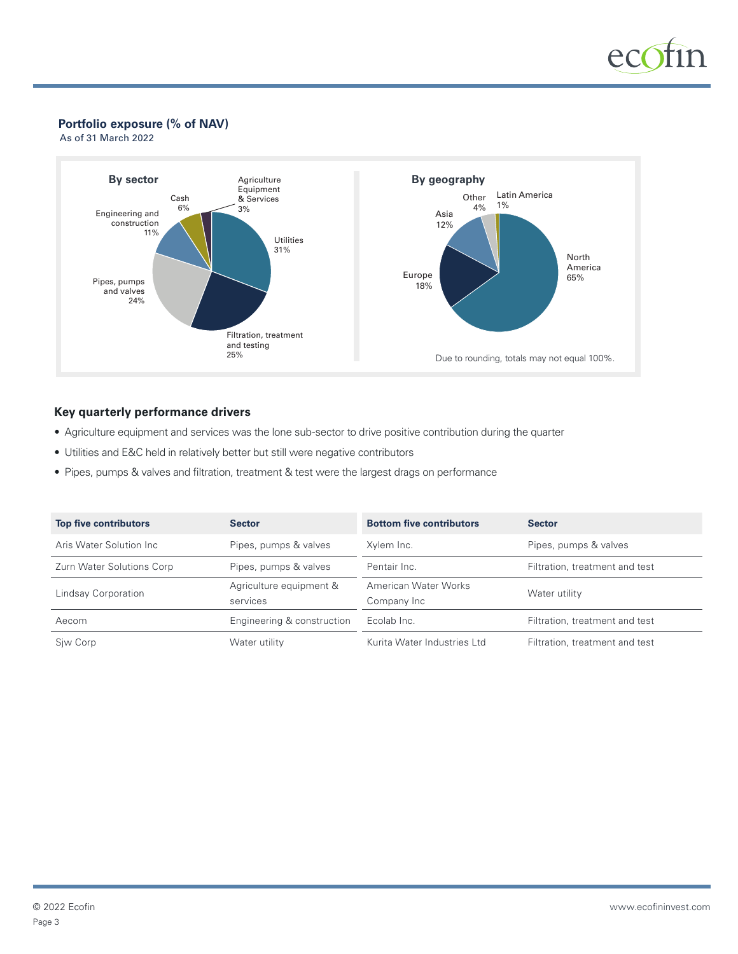

### **Portfolio exposure (% of NAV)**

As of 31 March 2022



### **Key quarterly performance drivers**

- Agriculture equipment and services was the lone sub-sector to drive positive contribution during the quarter
- Utilities and E&C held in relatively better but still were negative contributors
- Pipes, pumps & valves and filtration, treatment & test were the largest drags on performance

| <b>Top five contributors</b> | <b>Sector</b>                       | <b>Bottom five contributors</b>     | <b>Sector</b>                  |
|------------------------------|-------------------------------------|-------------------------------------|--------------------------------|
| Aris Water Solution Inc.     | Pipes, pumps & valves               | Xvlem Inc.                          | Pipes, pumps & valves          |
| Zurn Water Solutions Corp    | Pipes, pumps & valves               | Pentair Inc.                        | Filtration, treatment and test |
| Lindsay Corporation          | Agriculture equipment &<br>services | American Water Works<br>Company Inc | Water utility                  |
| Aecom                        | Engineering & construction          | Ecolab Inc.                         | Filtration, treatment and test |
| Siw Corp                     | Water utility                       | Kurita Water Industries Ltd         | Filtration, treatment and test |